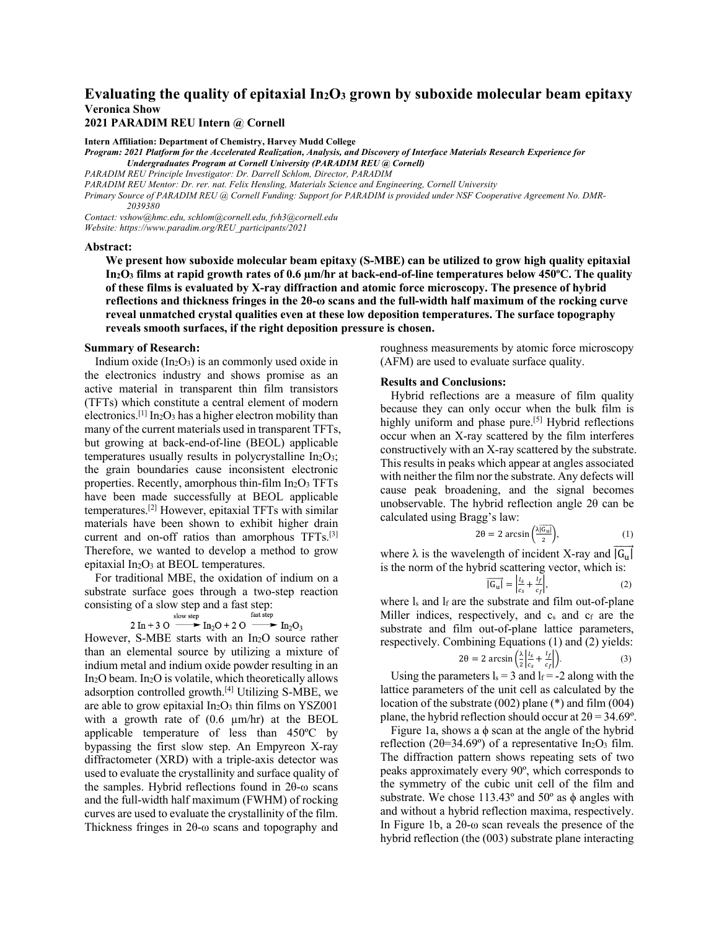# Evaluating the quality of epitaxial In<sub>2</sub>O<sub>3</sub> grown by suboxide molecular beam epitaxy **Veronica Show**

## **2021 PARADIM REU Intern @ Cornell**

**Intern Affiliation: Department of Chemistry, Harvey Mudd College** *Program: 2021 Platform for the Accelerated Realization, Analysis, and Discovery of Interface Materials Research Experience for Undergraduates Program at Cornell University (PARADIM REU @ Cornell) PARADIM REU Principle Investigator: Dr. Darrell Schlom, Director, PARADIM PARADIM REU Mentor: Dr. rer. nat. Felix Hensling, Materials Science and Engineering, Cornell University*

*Primary Source of PARADIM REU @ Cornell Funding: Support for PARADIM is provided under NSF Cooperative Agreement No. DMR-2039380*

*Contact: vshow@hmc.edu, schlom@cornell.edu, fvh3@cornell.edu Website: https://www.paradim.org/REU\_participants/2021*

#### **Abstract:**

**We present how suboxide molecular beam epitaxy (S-MBE) can be utilized to grow high quality epitaxial In2O3 films at rapid growth rates of 0.6 µm/hr at back-end-of-line temperatures below 450ºC. The quality of these films is evaluated by X-ray diffraction and atomic force microscopy. The presence of hybrid reflections and thickness fringes in the 2θ-ω scans and the full-width half maximum of the rocking curve reveal unmatched crystal qualities even at these low deposition temperatures. The surface topography reveals smooth surfaces, if the right deposition pressure is chosen.**

#### **Summary of Research:**

Indium oxide  $(In_2O_3)$  is an commonly used oxide in the electronics industry and shows promise as an active material in transparent thin film transistors (TFTs) which constitute a central element of modern electronics.<sup>[1]</sup> In<sub>2</sub>O<sub>3</sub> has a higher electron mobility than many of the current materials used in transparent TFTs, but growing at back-end-of-line (BEOL) applicable temperatures usually results in polycrystalline  $In<sub>2</sub>O<sub>3</sub>$ ; the grain boundaries cause inconsistent electronic properties. Recently, amorphous thin-film  $In<sub>2</sub>O<sub>3</sub> TFTs$ have been made successfully at BEOL applicable temperatures.[2] However, epitaxial TFTs with similar materials have been shown to exhibit higher drain current and on-off ratios than amorphous TFTs.<sup>[3]</sup> Therefore, we wanted to develop a method to grow epitaxial  $In_2O_3$  at BEOL temperatures.

For traditional MBE, the oxidation of indium on a substrate surface goes through a two-step reaction consisting of a slow step and a fast step:

$$
2 \text{ In } +3 \text{ O} \xrightarrow{\text{slow step}} \text{In}_2\text{O} + 2 \text{ O} \xrightarrow{\text{fast step}} \text{In}_2\text{O}_3
$$

However, S-MBE starts with an In2O source rather than an elemental source by utilizing a mixture of indium metal and indium oxide powder resulting in an In2O beam. In2O is volatile, which theoretically allows adsorption controlled growth.[4] Utilizing S-MBE, we are able to grow epitaxial  $In<sub>2</sub>O<sub>3</sub>$  thin films on YSZ001 with a growth rate of  $(0.6 \mu m/hr)$  at the BEOL applicable temperature of less than 450ºC by bypassing the first slow step. An Empyreon X-ray diffractometer (XRD) with a triple-axis detector was used to evaluate the crystallinity and surface quality of the samples. Hybrid reflections found in 2θ-ω scans and the full-width half maximum (FWHM) of rocking curves are used to evaluate the crystallinity of the film. Thickness fringes in 2θ-ω scans and topography and

roughness measurements by atomic force microscopy (AFM) are used to evaluate surface quality.

## **Results and Conclusions:**

Hybrid reflections are a measure of film quality because they can only occur when the bulk film is highly uniform and phase pure.<sup>[5]</sup> Hybrid reflections occur when an X-ray scattered by the film interferes constructively with an X-ray scattered by the substrate. This results in peaks which appear at angles associated with neither the film nor the substrate. Any defects will cause peak broadening, and the signal becomes unobservable. The hybrid reflection angle 2θ can be calculated using Bragg's law:

$$
2\theta = 2 \arcsin\left(\frac{\lambda \overline{|G_{\text{u}}|}}{2}\right),\tag{1}
$$

where  $\lambda$  is the wavelength of incident X-ray and  $\overline{|G_{11}|}$ is the norm of the hybrid scattering vector, which is:

$$
\overline{|G_u|} = \left| \frac{l_s}{c_s} + \frac{l_f}{c_f} \right|,\tag{2}
$$

where ls and lf are the substrate and film out-of-plane Miller indices, respectively, and  $c_s$  and  $c_f$  are the substrate and film out-of-plane lattice parameters, respectively. Combining Equations (1) and (2) yields:

$$
2\theta = 2 \arcsin\left(\frac{\lambda}{2} \left| \frac{l_s}{c_s} + \frac{l_f}{c_f} \right|\right). \tag{3}
$$

Using the parameters  $l_s = 3$  and  $l_f = -2$  along with the lattice parameters of the unit cell as calculated by the location of the substrate (002) plane (\*) and film (004) plane, the hybrid reflection should occur at  $2\theta = 34.69^{\circ}$ .

Figure 1a, shows a  $\phi$  scan at the angle of the hybrid reflection (2 $\theta$ =34.69°) of a representative In<sub>2</sub>O<sub>3</sub> film. The diffraction pattern shows repeating sets of two peaks approximately every 90º, which corresponds to the symmetry of the cubic unit cell of the film and substrate. We chose  $113.43^{\circ}$  and  $50^{\circ}$  as  $\phi$  angles with and without a hybrid reflection maxima, respectively. In Figure 1b, a 2θ-ω scan reveals the presence of the hybrid reflection (the (003) substrate plane interacting